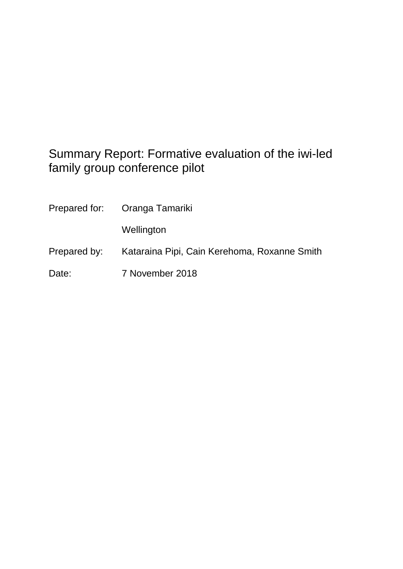# Summary Report: Formative evaluation of the iwi-led family group conference pilot

|              | Prepared for: Oranga Tamariki                |
|--------------|----------------------------------------------|
|              | Wellington                                   |
| Prepared by: | Kataraina Pipi, Cain Kerehoma, Roxanne Smith |
| Date:        | 7 November 2018                              |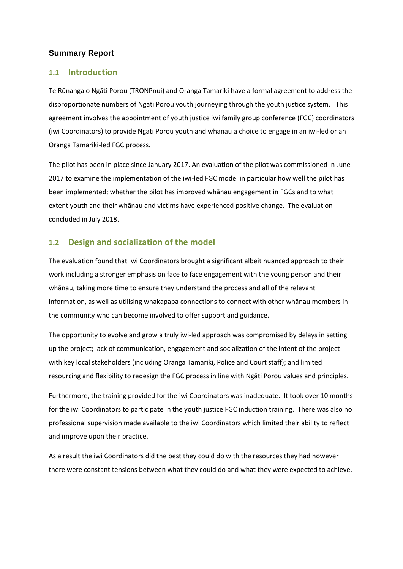#### **Summary Report**

#### **1.1 Introduction**

Te Rūnanga o Ngāti Porou (TRONPnui) and Oranga Tamariki have a formal agreement to address the disproportionate numbers of Ngāti Porou youth journeying through the youth justice system. This agreement involves the appointment of youth justice iwi family group conference (FGC) coordinators (iwi Coordinators) to provide Ngāti Porou youth and whānau a choice to engage in an iwi-led or an Oranga Tamariki-led FGC process.

The pilot has been in place since January 2017. An evaluation of the pilot was commissioned in June 2017 to examine the implementation of the iwi-led FGC model in particular how well the pilot has been implemented; whether the pilot has improved whānau engagement in FGCs and to what extent youth and their whānau and victims have experienced positive change. The evaluation concluded in July 2018.

### **1.2 Design and socialization of the model**

The evaluation found that Iwi Coordinators brought a significant albeit nuanced approach to their work including a stronger emphasis on face to face engagement with the young person and their whānau, taking more time to ensure they understand the process and all of the relevant information, as well as utilising whakapapa connections to connect with other whānau members in the community who can become involved to offer support and guidance.

The opportunity to evolve and grow a truly iwi-led approach was compromised by delays in setting up the project; lack of communication, engagement and socialization of the intent of the project with key local stakeholders (including Oranga Tamariki, Police and Court staff); and limited resourcing and flexibility to redesign the FGC process in line with Ngāti Porou values and principles.

Furthermore, the training provided for the iwi Coordinators was inadequate. It took over 10 months for the iwi Coordinators to participate in the youth justice FGC induction training. There was also no professional supervision made available to the iwi Coordinators which limited their ability to reflect and improve upon their practice.

As a result the iwi Coordinators did the best they could do with the resources they had however there were constant tensions between what they could do and what they were expected to achieve.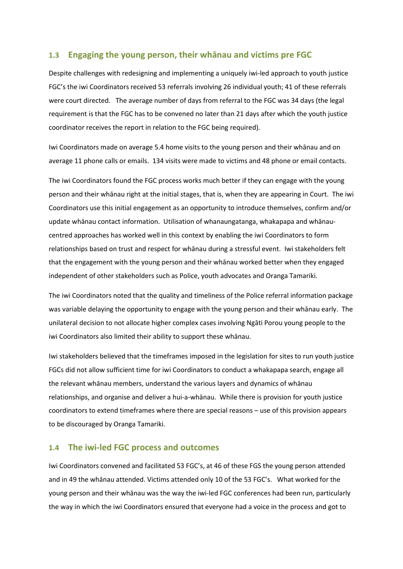#### **1.3 Engaging the young person, their whānau and victims pre FGC**

Despite challenges with redesigning and implementing a uniquely iwi-led approach to youth justice FGC's the iwi Coordinators received 53 referrals involving 26 individual youth; 41 of these referrals were court directed. The average number of days from referral to the FGC was 34 days (the legal requirement is that the FGC has to be convened no later than 21 days after which the youth justice coordinator receives the report in relation to the FGC being required).

Iwi Coordinators made on average 5.4 home visits to the young person and their whānau and on average 11 phone calls or emails. 134 visits were made to victims and 48 phone or email contacts.

The iwi Coordinators found the FGC process works much better if they can engage with the young person and their whānau right at the initial stages, that is, when they are appearing in Court. The iwi Coordinators use this initial engagement as an opportunity to introduce themselves, confirm and/or update whānau contact information. Utilisation of whanaungatanga, whakapapa and whānaucentred approaches has worked well in this context by enabling the iwi Coordinators to form relationships based on trust and respect for whānau during a stressful event. Iwi stakeholders felt that the engagement with the young person and their whānau worked better when they engaged independent of other stakeholders such as Police, youth advocates and Oranga Tamariki.

The iwi Coordinators noted that the quality and timeliness of the Police referral information package was variable delaying the opportunity to engage with the young person and their whānau early. The unilateral decision to not allocate higher complex cases involving Ngāti Porou young people to the iwi Coordinators also limited their ability to support these whānau.

Iwi stakeholders believed that the timeframes imposed in the legislation for sites to run youth justice FGCs did not allow sufficient time for iwi Coordinators to conduct a whakapapa search, engage all the relevant whānau members, understand the various layers and dynamics of whānau relationships, and organise and deliver a hui-a-whānau. While there is provision for youth justice coordinators to extend timeframes where there are special reasons – use of this provision appears to be discouraged by Oranga Tamariki.

#### **1.4 The iwi-led FGC process and outcomes**

Iwi Coordinators convened and facilitated 53 FGC's, at 46 of these FGS the young person attended and in 49 the whānau attended. Victims attended only 10 of the 53 FGC's. What worked for the young person and their whānau was the way the iwi-led FGC conferences had been run, particularly the way in which the iwi Coordinators ensured that everyone had a voice in the process and got to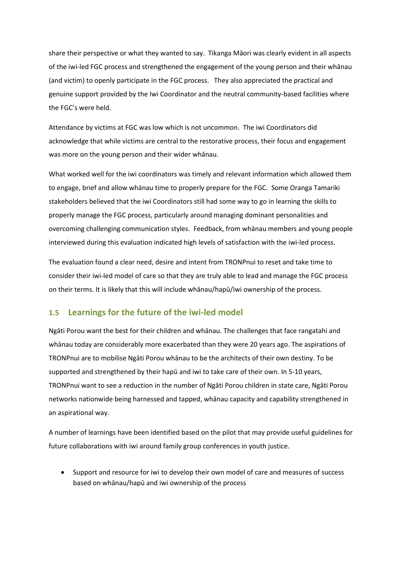share their perspective or what they wanted to say. Tikanga Māori was clearly evident in all aspects of the iwi-led FGC process and strengthened the engagement of the young person and their whānau (and victim) to openly participate in the FGC process. They also appreciated the practical and genuine support provided by the Iwi Coordinator and the neutral community-based facilities where the FGC's were held.

Attendance by victims at FGC was low which is not uncommon. The iwi Coordinators did acknowledge that while victims are central to the restorative process, their focus and engagement was more on the young person and their wider whānau.

What worked well for the iwi coordinators was timely and relevant information which allowed them to engage, brief and allow whānau time to properly prepare for the FGC. Some Oranga Tamariki stakeholders believed that the iwi Coordinators still had some way to go in learning the skills to properly manage the FGC process, particularly around managing dominant personalities and overcoming challenging communication styles. Feedback, from whānau members and young people interviewed during this evaluation indicated high levels of satisfaction with the iwi-led process.

The evaluation found a clear need, desire and intent from TRONPnui to reset and take time to consider their iwi-led model of care so that they are truly able to lead and manage the FGC process on their terms. It is likely that this will include whānau/hapū/iwi ownership of the process.

#### **1.5 Learnings for the future of the iwi-led model**

Ngāti Porou want the best for their children and whānau. The challenges that face rangatahi and whānau today are considerably more exacerbated than they were 20 years ago. The aspirations of TRONPnui are to mobilise Ngāti Porou whānau to be the architects of their own destiny. To be supported and strengthened by their hapū and iwi to take care of their own. In 5-10 years, TRONPnui want to see a reduction in the number of Ngāti Porou children in state care, Ngāti Porou networks nationwide being harnessed and tapped, whānau capacity and capability strengthened in an aspirational way.

A number of learnings have been identified based on the pilot that may provide useful guidelines for future collaborations with iwi around family group conferences in youth justice.

 Support and resource for iwi to develop their own model of care and measures of success based on whānau/hapū and iwi ownership of the process